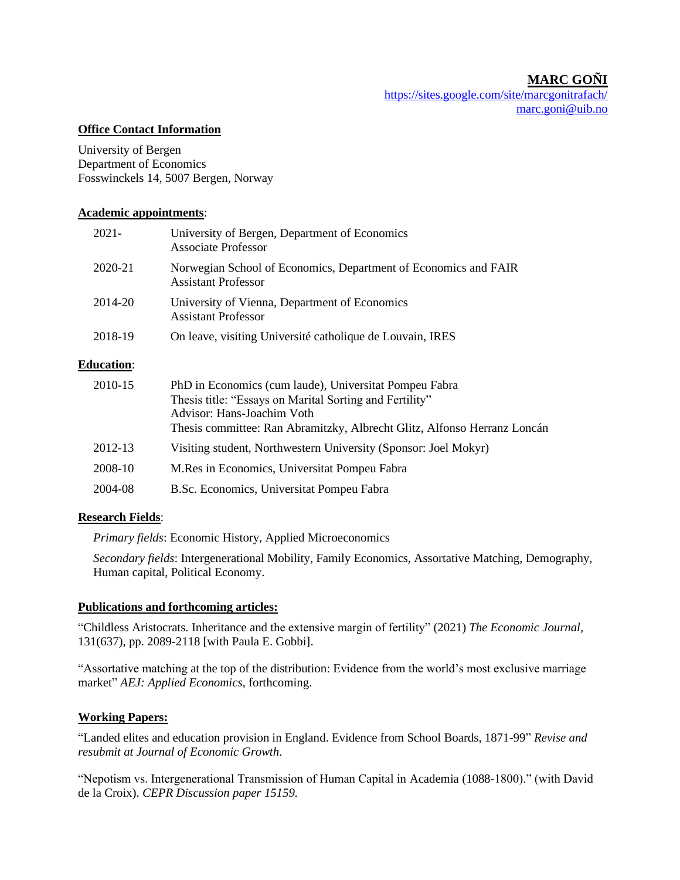# **MARC GOÑI**

<https://sites.google.com/site/marcgonitrafach/> [marc.goni@uib.no](mailto:marc.goni@uib.no)

#### **Office Contact Information**

University of Bergen Department of Economics Fosswinckels 14, 5007 Bergen, Norway

### **Academic appointments**:

| 2021-             | University of Bergen, Department of Economics<br>Associate Professor                                                                                                                                                        |
|-------------------|-----------------------------------------------------------------------------------------------------------------------------------------------------------------------------------------------------------------------------|
| 2020-21           | Norwegian School of Economics, Department of Economics and FAIR<br><b>Assistant Professor</b>                                                                                                                               |
| 2014-20           | University of Vienna, Department of Economics<br><b>Assistant Professor</b>                                                                                                                                                 |
| 2018-19           | On leave, visiting Université catholique de Louvain, IRES                                                                                                                                                                   |
| <b>Education:</b> |                                                                                                                                                                                                                             |
| 2010-15           | PhD in Economics (cum laude), Universitat Pompeu Fabra<br>Thesis title: "Essays on Marital Sorting and Fertility"<br>Advisor: Hans-Joachim Voth<br>Thesis committee: Ran Abramitzky, Albrecht Glitz, Alfonso Herranz Loncán |
| 2012-13           | Visiting student, Northwestern University (Sponsor: Joel Mokyr)                                                                                                                                                             |
| 2008-10           | M. Res in Economics, Universitat Pompeu Fabra                                                                                                                                                                               |
| 2004-08           | B.Sc. Economics, Universitat Pompeu Fabra                                                                                                                                                                                   |

## **Research Fields**:

*Primary fields*: Economic History, Applied Microeconomics

*Secondary fields*: Intergenerational Mobility, Family Economics, Assortative Matching, Demography, Human capital, Political Economy.

## **Publications and forthcoming articles:**

"Childless Aristocrats. Inheritance and the extensive margin of fertility" (2021) *The Economic Journal*, 131(637), pp. 2089-2118 [with Paula E. Gobbi].

"Assortative matching at the top of the distribution: Evidence from the world's most exclusive marriage market" *AEJ: Applied Economics*, forthcoming.

## **Working Papers:**

"Landed elites and education provision in England. Evidence from School Boards, 1871-99" *Revise and resubmit at Journal of Economic Growth*.

"Nepotism vs. Intergenerational Transmission of Human Capital in Academia (1088-1800)." (with David de la Croix). *CEPR [Discussion paper 15159.](https://www.google.com/url?q=https%3A%2F%2Fcepr.org%2Factive%2Fpublications%2Fdiscussion_papers%2Fdp.php%3Fdpno%3D12744&sa=D&sntz=1&usg=AFQjCNGNLZpxPqEWGKK9iJt5Hdaw32qpow)*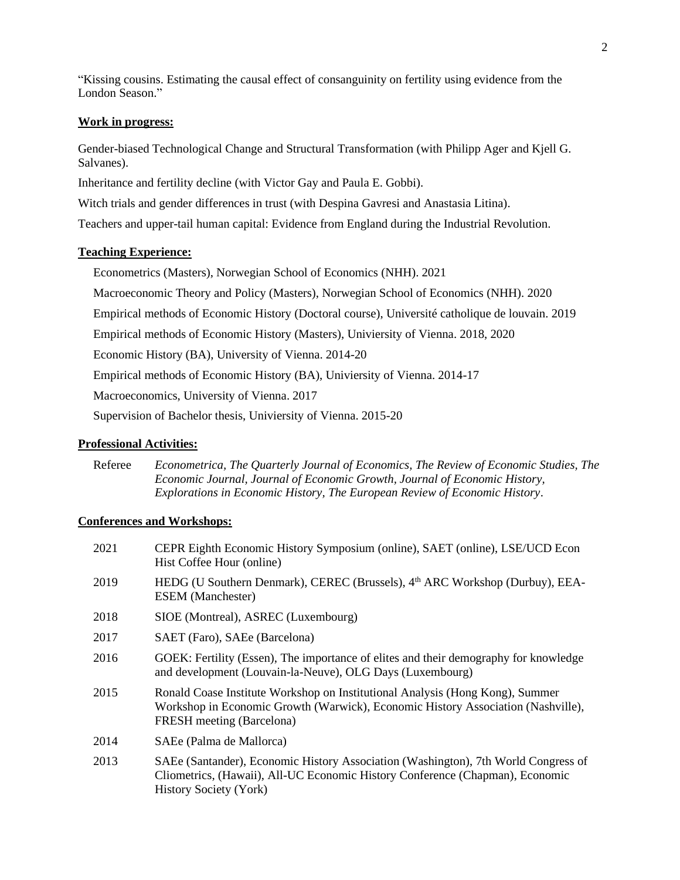["Kissing cousins. Estimating the causal effect of consanguinity on fertility using evidence from the](https://sites.google.com/site/marcgonitrafach/home/research/kissing_cousins.pdf?attredirects=0&attachauth=ANoY7cpSEMVQ3r6pPVHjMg2lVyy3DkGh6is57AqycMi3zFO5_-2LVBqJY1Upq1CSVHlRl37X94z7nFkCLOmuIm1tmJG0JUvwEpdVh1Qm1ENhNqfGyrDGMfgaeWGkIfcDsAX521faXGOwZm16HeFj1B6d4l3ETkSKjgA0GnB8XWIrTArD4zSsCpPdPNuj4x8V8RMcP-xcxFUwT2rueON_FFvRHuw2Wmp-dd1jnJ1IV_7GjVxegk5BgP45Bazi-gGvPiAWGqdEzTKf)  [London Season.](https://sites.google.com/site/marcgonitrafach/home/research/kissing_cousins.pdf?attredirects=0&attachauth=ANoY7cpSEMVQ3r6pPVHjMg2lVyy3DkGh6is57AqycMi3zFO5_-2LVBqJY1Upq1CSVHlRl37X94z7nFkCLOmuIm1tmJG0JUvwEpdVh1Qm1ENhNqfGyrDGMfgaeWGkIfcDsAX521faXGOwZm16HeFj1B6d4l3ETkSKjgA0GnB8XWIrTArD4zSsCpPdPNuj4x8V8RMcP-xcxFUwT2rueON_FFvRHuw2Wmp-dd1jnJ1IV_7GjVxegk5BgP45Bazi-gGvPiAWGqdEzTKf)"

## **Work in progress:**

Gender-biased Technological Change and Structural Transformation (with Philipp Ager and Kjell G. Salvanes).

Inheritance and fertility decline (with Victor Gay and Paula E. Gobbi).

Witch trials and gender differences in trust (with Despina Gavresi and Anastasia Litina).

Teachers and upper-tail human capital: Evidence from England during the Industrial Revolution.

### **Teaching Experience:**

Econometrics (Masters), Norwegian School of Economics (NHH). 2021

Macroeconomic Theory and Policy (Masters), Norwegian School of Economics (NHH). 2020

Empirical methods of Economic History (Doctoral course), Université catholique de louvain. 2019

Empirical methods of Economic History (Masters), Univiersity of Vienna. 2018, 2020

Economic History (BA), University of Vienna. 2014-20

Empirical methods of Economic History (BA), Univiersity of Vienna. 2014-17

Macroeconomics, University of Vienna. 2017

Supervision of Bachelor thesis, Univiersity of Vienna. 2015-20

#### **Professional Activities:**

Referee *Econometrica, The Quarterly Journal of Economics, The Review of Economic Studies, The Economic Journal, Journal of Economic Growth, Journal of Economic History, Explorations in Economic History, The European Review of Economic History*.

## **Conferences and Workshops:**

| 2021 | CEPR Eighth Economic History Symposium (online), SAET (online), LSE/UCD Econ<br>Hist Coffee Hour (online)                                                                                             |
|------|-------------------------------------------------------------------------------------------------------------------------------------------------------------------------------------------------------|
| 2019 | HEDG (U Southern Denmark), CEREC (Brussels), 4 <sup>th</sup> ARC Workshop (Durbuy), EEA-<br><b>ESEM</b> (Manchester)                                                                                  |
| 2018 | SIOE (Montreal), ASREC (Luxembourg)                                                                                                                                                                   |
| 2017 | SAET (Faro), SAE (Barcelona)                                                                                                                                                                          |
| 2016 | GOEK: Fertility (Essen), The importance of elites and their demography for knowledge<br>and development (Louvain-la-Neuve), OLG Days (Luxembourg)                                                     |
| 2015 | Ronald Coase Institute Workshop on Institutional Analysis (Hong Kong), Summer<br>Workshop in Economic Growth (Warwick), Economic History Association (Nashville),<br><b>FRESH</b> meeting (Barcelona) |
| 2014 | SAE (Palma de Mallorca)                                                                                                                                                                               |
| 2013 | SAE (Santander), Economic History Association (Washington), 7th World Congress of<br>Cliometrics, (Hawaii), All-UC Economic History Conference (Chapman), Economic<br><b>History Society (York)</b>   |